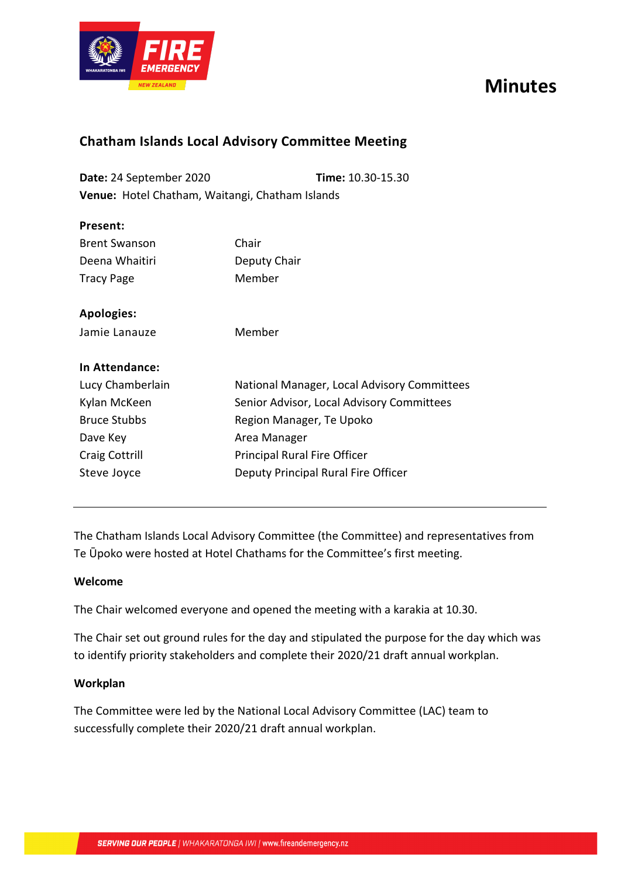

# **Minutes**

### **Chatham Islands Local Advisory Committee Meeting**

**Date:** 24 September 2020 **Time:** 10.30-15.30 **Venue:** Hotel Chatham, Waitangi, Chatham Islands

| Present:             |              |
|----------------------|--------------|
| <b>Brent Swanson</b> | Chair        |
| Deena Whaitiri       | Deputy Chair |
| Tracy Page           | Member       |

**Apologies:**

Jamie Lanauze Member

#### **In Attendance:**

| Lucy Chamberlain      | National Manager, Local Advisory Committees |
|-----------------------|---------------------------------------------|
| Kylan McKeen          | Senior Advisor, Local Advisory Committees   |
| <b>Bruce Stubbs</b>   | Region Manager, Te Upoko                    |
| Dave Key              | Area Manager                                |
| <b>Craig Cottrill</b> | Principal Rural Fire Officer                |
| Steve Joyce           | Deputy Principal Rural Fire Officer         |
|                       |                                             |

The Chatham Islands Local Advisory Committee (the Committee) and representatives from Te Ūpoko were hosted at Hotel Chathams for the Committee's first meeting.

#### **Welcome**

The Chair welcomed everyone and opened the meeting with a karakia at 10.30.

The Chair set out ground rules for the day and stipulated the purpose for the day which was to identify priority stakeholders and complete their 2020/21 draft annual workplan.

#### **Workplan**

The Committee were led by the National Local Advisory Committee (LAC) team to successfully complete their 2020/21 draft annual workplan.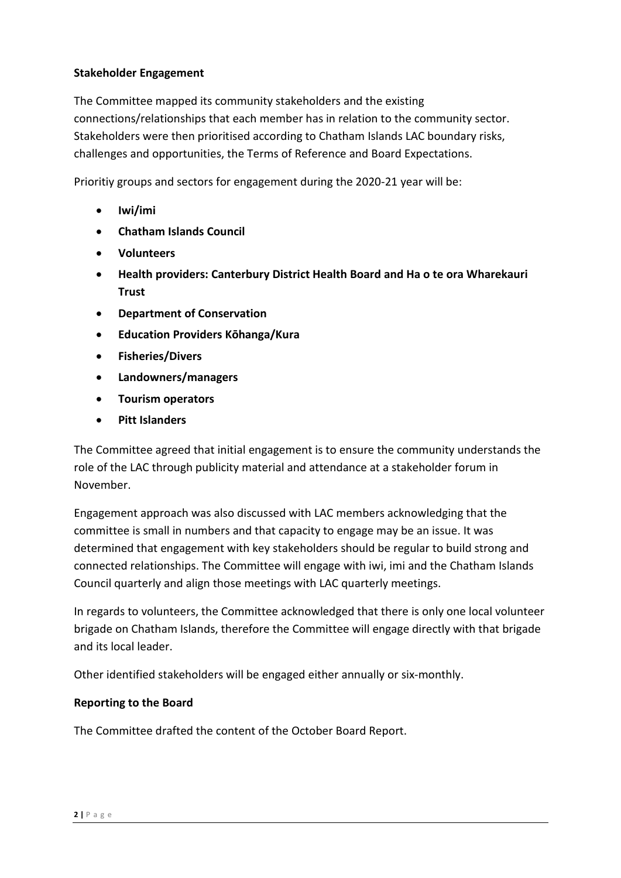#### **Stakeholder Engagement**

The Committee mapped its community stakeholders and the existing connections/relationships that each member has in relation to the community sector. Stakeholders were then prioritised according to Chatham Islands LAC boundary risks, challenges and opportunities, the Terms of Reference and Board Expectations.

Prioritiy groups and sectors for engagement during the 2020-21 year will be:

- **Iwi/imi**
- **Chatham Islands Council**
- **Volunteers**
- **Health providers: Canterbury District Health Board and Ha o te ora Wharekauri Trust**
- **Department of Conservation**
- **Education Providers Kōhanga/Kura**
- **Fisheries/Divers**
- **Landowners/managers**
- **Tourism operators**
- **Pitt Islanders**

The Committee agreed that initial engagement is to ensure the community understands the role of the LAC through publicity material and attendance at a stakeholder forum in November.

Engagement approach was also discussed with LAC members acknowledging that the committee is small in numbers and that capacity to engage may be an issue. It was determined that engagement with key stakeholders should be regular to build strong and connected relationships. The Committee will engage with iwi, imi and the Chatham Islands Council quarterly and align those meetings with LAC quarterly meetings.

In regards to volunteers, the Committee acknowledged that there is only one local volunteer brigade on Chatham Islands, therefore the Committee will engage directly with that brigade and its local leader.

Other identified stakeholders will be engaged either annually or six-monthly.

#### **Reporting to the Board**

The Committee drafted the content of the October Board Report.